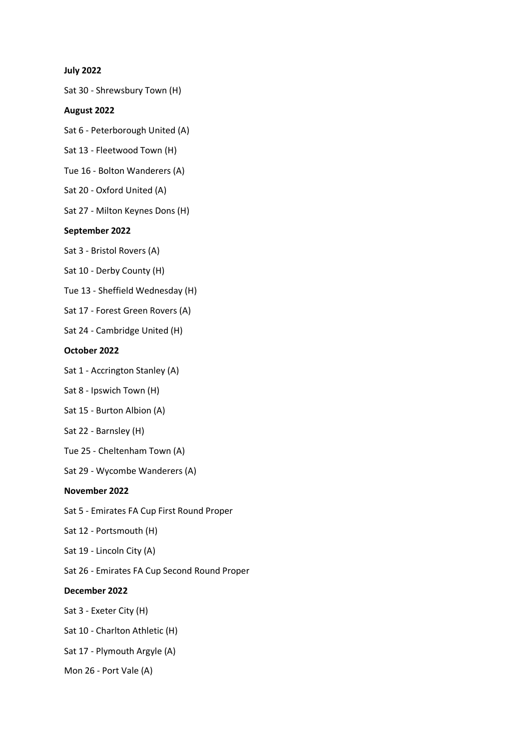#### **July 2022**

Sat 30 - Shrewsbury Town (H)

#### **August 2022**

Sat 6 - Peterborough United (A)

Sat 13 - Fleetwood Town (H)

Tue 16 - Bolton Wanderers (A)

Sat 20 - Oxford United (A)

Sat 27 - Milton Keynes Dons (H)

## **September 2022**

Sat 3 - Bristol Rovers (A)

Sat 10 - Derby County (H)

Tue 13 - Sheffield Wednesday (H)

Sat 17 - Forest Green Rovers (A)

Sat 24 - Cambridge United (H)

## **October 2022**

Sat 1 - Accrington Stanley (A)

Sat 8 - Ipswich Town (H)

- Sat 15 Burton Albion (A)
- Sat 22 Barnsley (H)
- Tue 25 Cheltenham Town (A)

Sat 29 - Wycombe Wanderers (A)

# **November 2022**

Sat 5 - Emirates FA Cup First Round Proper

Sat 12 - Portsmouth (H)

- Sat 19 Lincoln City (A)
- Sat 26 Emirates FA Cup Second Round Proper

# **December 2022**

Sat 3 - Exeter City (H)

Sat 10 - Charlton Athletic (H)

Sat 17 - Plymouth Argyle (A)

Mon 26 - Port Vale (A)